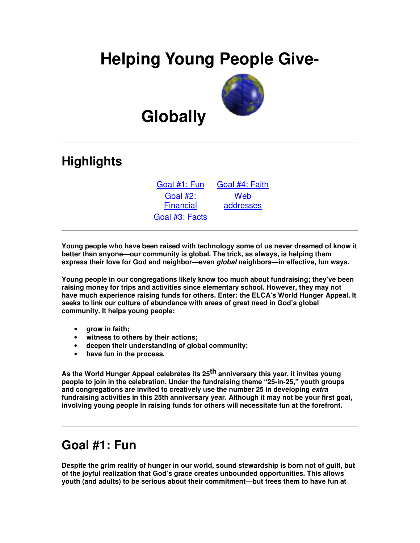# **Helping Young People Give-**



# **Globally**

## **Highlights**

Goal #1: Fun Goal #4: Faith Goal #2: Financial Goal #3: Facts

Web addresses

**Young people who have been raised with technology some of us never dreamed of know it better than anyone—our community is global. The trick, as always, is helping them express their love for God and neighbor—even** *global* **neighbors—in effective, fun ways.**

**Young people in our congregations likely know too much about fundraising; they've been raising money for trips and activities since elementary school. However, they may not have much experience raising funds for others. Enter: the ELCA's World Hunger Appeal. It seeks to link our culture of abundance with areas of great need in God's global community. It helps young people:**

- **grow in faith;**
- **witness to others by their actions;**
- **deepen their understanding of global community;**
- **have fun in the process.**

**As the World Hunger Appeal celebrates its 25 th anniversary this year, it invites young people to join in the celebration. Under the fundraising theme "25-in-25," youth groups and congregations are invited to creatively use the number 25 in developing** *extra* **fundraising activities in this 25th anniversary year. Although it may not be your first goal, involving young people in raising funds for others will necessitate fun at the forefront.**

### **Goal #1: Fun**

**Despite the grim reality of hunger in our world, sound stewardship is born not of guilt, but of the joyful realization that God's grace creates unbounded opportunities. This allows youth (and adults) to be serious about their commitment—but frees them to have fun at**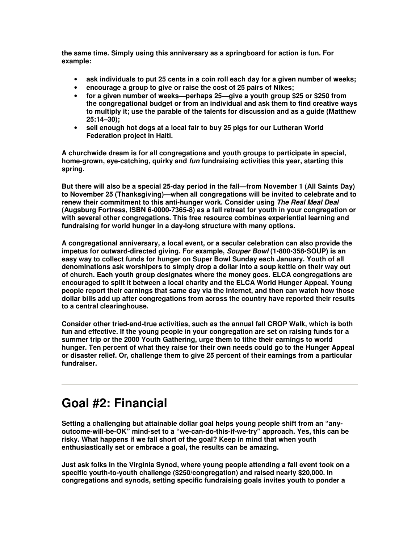**the same time. Simply using this anniversary as a springboard for action is fun. For example:**

- **ask individuals to put 25 cents in a coin roll each day for a given number of weeks;**
- **encourage a group to give or raise the cost of 25 pairs of Nikes;**
- **for a given number of weeks—perhaps 25—give a youth group \$25 or \$250 from the congregational budget or from an individual and ask them to find creative ways to multiply it; use the parable of the talents for discussion and as a guide (Matthew 25:14–30);**
- **sell enough hot dogs at a local fair to buy 25 pigs for our Lutheran World Federation project in Haiti.**

**A churchwide dream is for all congregations and youth groups to participate in special, home-grown, eye-catching, quirky and** *fun* **fundraising activities this year, starting this spring.**

**But there will also be a special 25-day period in the fall—from November 1 (All Saints Day) to November 25 (Thanksgiving)—when all congregations will be invited to celebrate and to renew their commitment to this anti-hunger work. Consider using** *The Real Meal Deal* **(Augsburg Fortress, ISBN 6-0000-7365-8) as a fall retreat for youth in your congregation or with several other congregations. This free resource combines experiential learning and fundraising for world hunger in a day-long structure with many options.**

**A congregational anniversary, a local event, or a secular celebration can also provide the impetus for outward-directed giving. For example,** *Souper Bowl* **(1•800•358•SOUP) is an easy way to collect funds for hunger on Super Bowl Sunday each January. Youth of all denominations ask worshipers to simply drop a dollar into a soup kettle on their way out of church. Each youth group designates where the money goes. ELCA congregations are encouraged to split it between a local charity and the ELCA World Hunger Appeal. Young people report their earnings that same day via the Internet, and then can watch how those dollar bills add up after congregations from across the country have reported their results to a central clearinghouse.**

**Consider other tried-and-true activities, such as the annual fall CROP Walk, which is both fun and effective. If the young people in your congregation are set on raising funds for a summer trip or the 2000 Youth Gathering, urge them to tithe their earnings to world hunger. Ten percent of what they raise for their own needs could go to the Hunger Appeal or disaster relief. Or, challenge them to give 25 percent of their earnings from a particular fundraiser.**

## **Goal #2: Financial**

**Setting a challenging but attainable dollar goal helps young people shift from an "anyoutcome-will-be-OK" mind-set to a "we-can-do-this-if-we-try" approach. Yes, this can be risky. What happens if we fall short of the goal? Keep in mind that when youth enthusiastically set or embrace a goal, the results can be amazing.**

**Just ask folks in the Virginia Synod, where young people attending a fall event took on a specific youth-to-youth challenge (\$250/congregation) and raised nearly \$20,000. In congregations and synods, setting specific fundraising goals invites youth to ponder a**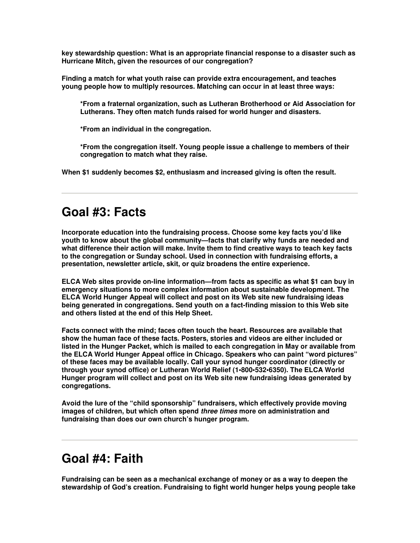**key stewardship question: What is an appropriate financial response to a disaster such as Hurricane Mitch, given the resources of our congregation?**

**Finding a match for what youth raise can provide extra encouragement, and teaches young people how to multiply resources. Matching can occur in at least three ways:**

**\*From a fraternal organization, such as Lutheran Brotherhood or Aid Association for Lutherans. They often match funds raised for world hunger and disasters.**

**\*From an individual in the congregation.**

**\*From the congregation itself. Young people issue a challenge to members of their congregation to match what they raise.**

**When \$1 suddenly becomes \$2, enthusiasm and increased giving is often the result.**

#### **Goal #3: Facts**

**Incorporate education into the fundraising process. Choose some key facts you'd like youth to know about the global community—facts that clarify why funds are needed and what difference their action will make. Invite them to find creative ways to teach key facts to the congregation or Sunday school. Used in connection with fundraising efforts, a presentation, newsletter article, skit, or quiz broadens the entire experience.**

**ELCA Web sites provide on-line information—from facts as specific as what \$1 can buy in emergency situations to more complex information about sustainable development. The ELCA World Hunger Appeal will collect and post on its Web site new fundraising ideas being generated in congregations. Send youth on a fact-finding mission to this Web site and others listed at the end of this Help Sheet.**

**Facts connect with the mind; faces often touch the heart. Resources are available that show the human face of these facts. Posters, stories and videos are either included or listed in the Hunger Packet, which is mailed to each congregation in May or available from the ELCA World Hunger Appeal office in Chicago. Speakers who can paint "word pictures" of these faces may be available locally. Call your synod hunger coordinator (directly or through your synod office) or Lutheran World Relief (1•800•532•6350). The ELCA World Hunger program will collect and post on its Web site new fundraising ideas generated by congregations.**

**Avoid the lure of the "child sponsorship" fundraisers, which effectively provide moving images of children, but which often spend** *three times* **more on administration and fundraising than does our own church's hunger program.**

#### **Goal #4: Faith**

**Fundraising can be seen as a mechanical exchange of money or as a way to deepen the stewardship of God's creation. Fundraising to fight world hunger helps young people take**